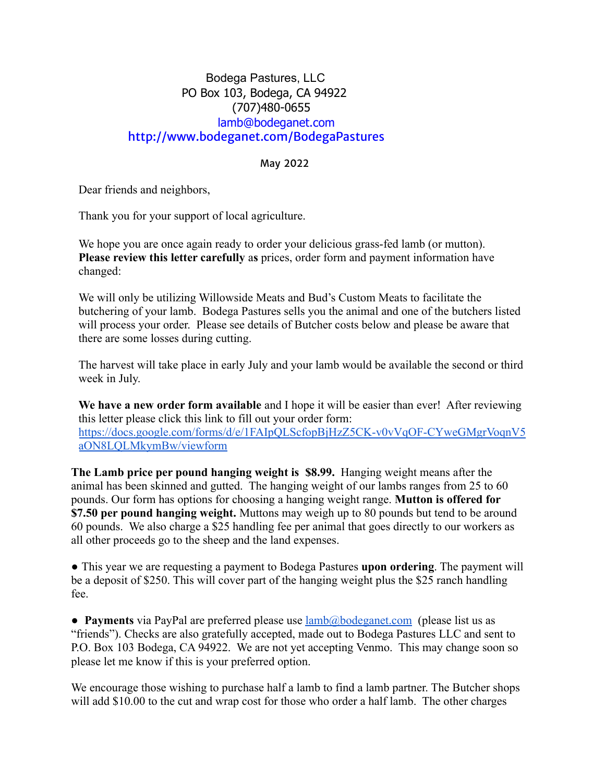### Bodega Pastures, LLC PO Box 103, Bodega, CA 94922 (707)480-0655 lamb@bodeganet.com http://www.bodeganet.com/BodegaPastures

#### May 2022

Dear friends and neighbors,

Thank you for your support of local agriculture.

We hope you are once again ready to order your delicious grass-fed lamb (or mutton). **Please review this letter carefully** a**s** prices, order form and payment information have changed:

We will only be utilizing Willowside Meats and Bud's Custom Meats to facilitate the butchering of your lamb. Bodega Pastures sells you the animal and one of the butchers listed will process your order. Please see details of Butcher costs below and please be aware that there are some losses during cutting.

The harvest will take place in early July and your lamb would be available the second or third week in July.

**We have a new order form available** and I hope it will be easier than ever! After reviewing this letter please click this link to fill out your order form: [https://docs.google.com/forms/d/e/1FAIpQLScfopBjHzZ5CK-v0vVqOF-CYweGMgrVoqnV5](https://docs.google.com/forms/d/e/1FAIpQLScfopBjHzZ5CK-v0vVqOF-CYweGMgrVoqnV5aON8LQLMkymBw/viewform) [aON8LQLMkymBw/viewform](https://docs.google.com/forms/d/e/1FAIpQLScfopBjHzZ5CK-v0vVqOF-CYweGMgrVoqnV5aON8LQLMkymBw/viewform)

**The Lamb price per pound hanging weight is \$8.99.** Hanging weight means after the animal has been skinned and gutted. The hanging weight of our lambs ranges from 25 to 60 pounds. Our form has options for choosing a hanging weight range. **Mutton is offered for \$7.50 per pound hanging weight.** Muttons may weigh up to 80 pounds but tend to be around 60 pounds. We also charge a \$25 handling fee per animal that goes directly to our workers as all other proceeds go to the sheep and the land expenses.

● This year we are requesting a payment to Bodega Pastures **upon ordering**. The payment will be a deposit of \$250. This will cover part of the hanging weight plus the \$25 ranch handling fee.

● **Payments** via PayPal are preferred please use [lamb@bodeganet.com](mailto:lamb@bodeganet.com) (please list us as "friends"). Checks are also gratefully accepted, made out to Bodega Pastures LLC and sent to P.O. Box 103 Bodega, CA 94922. We are not yet accepting Venmo. This may change soon so please let me know if this is your preferred option.

We encourage those wishing to purchase half a lamb to find a lamb partner. The Butcher shops will add \$10.00 to the cut and wrap cost for those who order a half lamb. The other charges